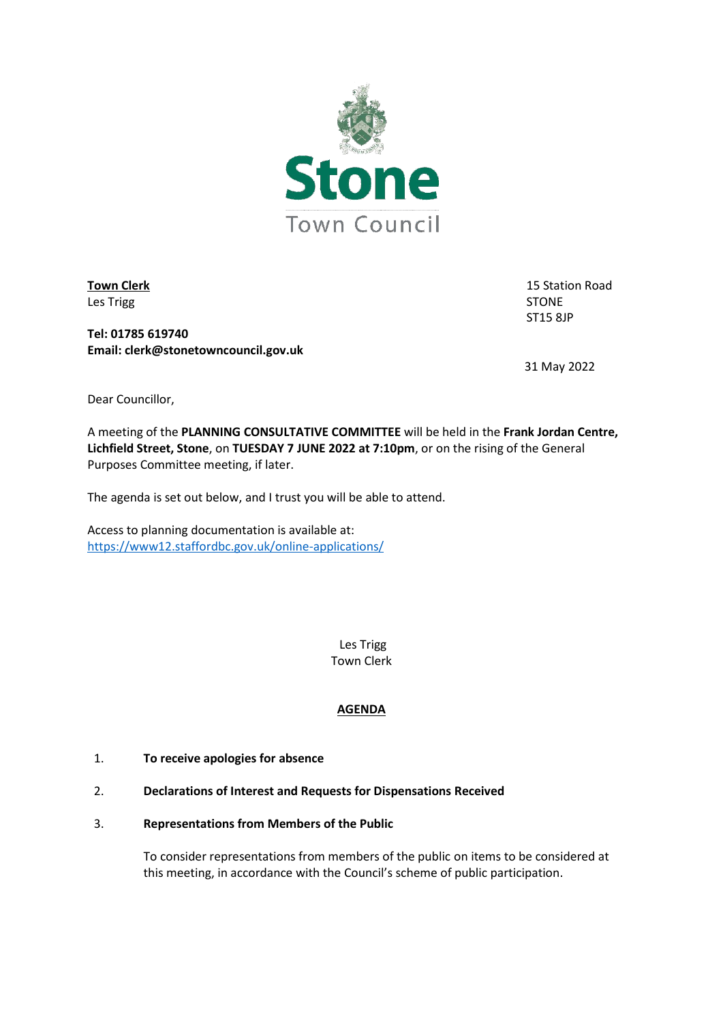

Les Trigg and the state of the state of the state of the state of the STONE

**Town Clerk** 15 Station Road ST15 8JP

**Tel: 01785 619740 Email: clerk@stonetowncouncil.gov.uk**

31 May 2022

Dear Councillor,

A meeting of the **PLANNING CONSULTATIVE COMMITTEE** will be held in the **Frank Jordan Centre, Lichfield Street, Stone**, on **TUESDAY 7 JUNE 2022 at 7:10pm**, or on the rising of the General Purposes Committee meeting, if later.

The agenda is set out below, and I trust you will be able to attend.

Access to planning documentation is available at: <https://www12.staffordbc.gov.uk/online-applications/>

> Les Trigg Town Clerk

# **AGENDA**

- 1. **To receive apologies for absence**
- 2. **Declarations of Interest and Requests for Dispensations Received**
- 3. **Representations from Members of the Public**

To consider representations from members of the public on items to be considered at this meeting, in accordance with the Council's scheme of public participation.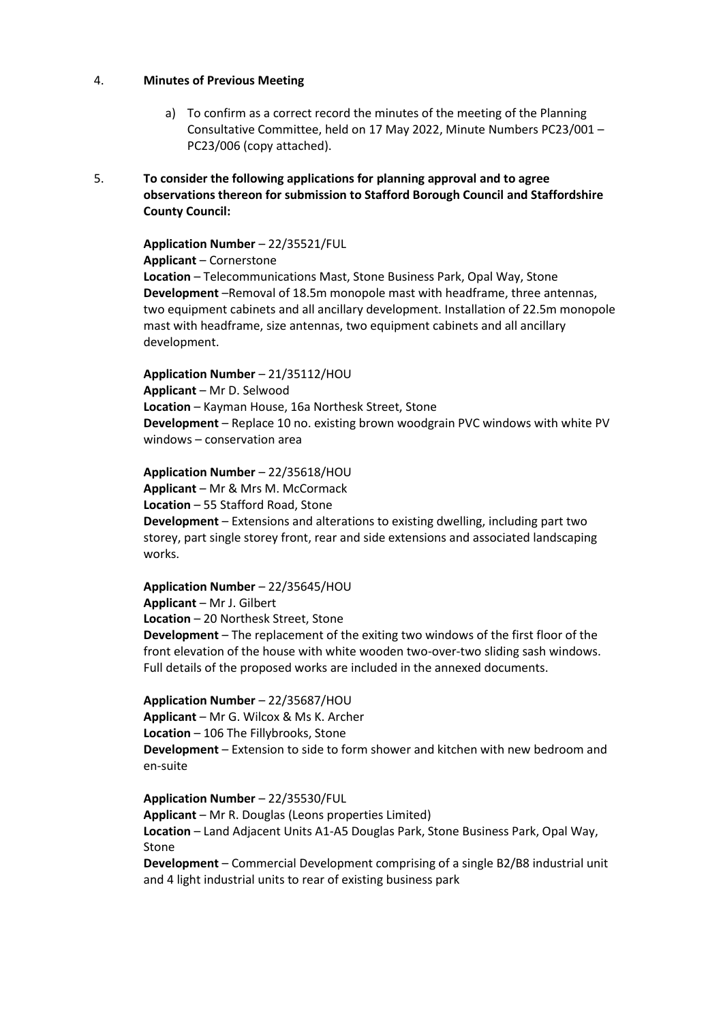# 4. **Minutes of Previous Meeting**

- a) To confirm as a correct record the minutes of the meeting of the Planning Consultative Committee, held on 17 May 2022, Minute Numbers PC23/001 – PC23/006 (copy attached).
- 5. **To consider the following applications for planning approval and to agree observations thereon for submission to Stafford Borough Council and Staffordshire County Council:**

**Application Number** – 22/35521/FUL

**Applicant** – Cornerstone **Location** – Telecommunications Mast, Stone Business Park, Opal Way, Stone **Development** –Removal of 18.5m monopole mast with headframe, three antennas, two equipment cabinets and all ancillary development. Installation of 22.5m monopole mast with headframe, size antennas, two equipment cabinets and all ancillary development.

### **Application Number** – 21/35112/HOU

**Applicant** – Mr D. Selwood **Location** – Kayman House, 16a Northesk Street, Stone **Development** – Replace 10 no. existing brown woodgrain PVC windows with white PV windows – conservation area

**Application Number** – 22/35618/HOU

**Applicant** – Mr & Mrs M. McCormack **Location** – 55 Stafford Road, Stone

**Development** – Extensions and alterations to existing dwelling, including part two storey, part single storey front, rear and side extensions and associated landscaping works.

**Application Number** – 22/35645/HOU

**Applicant** – Mr J. Gilbert **Location** – 20 Northesk Street, Stone **Development** – The replacement of the exiting two windows of the first floor of the front elevation of the house with white wooden two-over-two sliding sash windows. Full details of the proposed works are included in the annexed documents.

**Application Number** – 22/35687/HOU

**Applicant** – Mr G. Wilcox & Ms K. Archer **Location** – 106 The Fillybrooks, Stone **Development** – Extension to side to form shower and kitchen with new bedroom and en-suite

**Application Number** – 22/35530/FUL

**Applicant** – Mr R. Douglas (Leons properties Limited) **Location** – Land Adjacent Units A1-A5 Douglas Park, Stone Business Park, Opal Way, Stone

**Development** – Commercial Development comprising of a single B2/B8 industrial unit and 4 light industrial units to rear of existing business park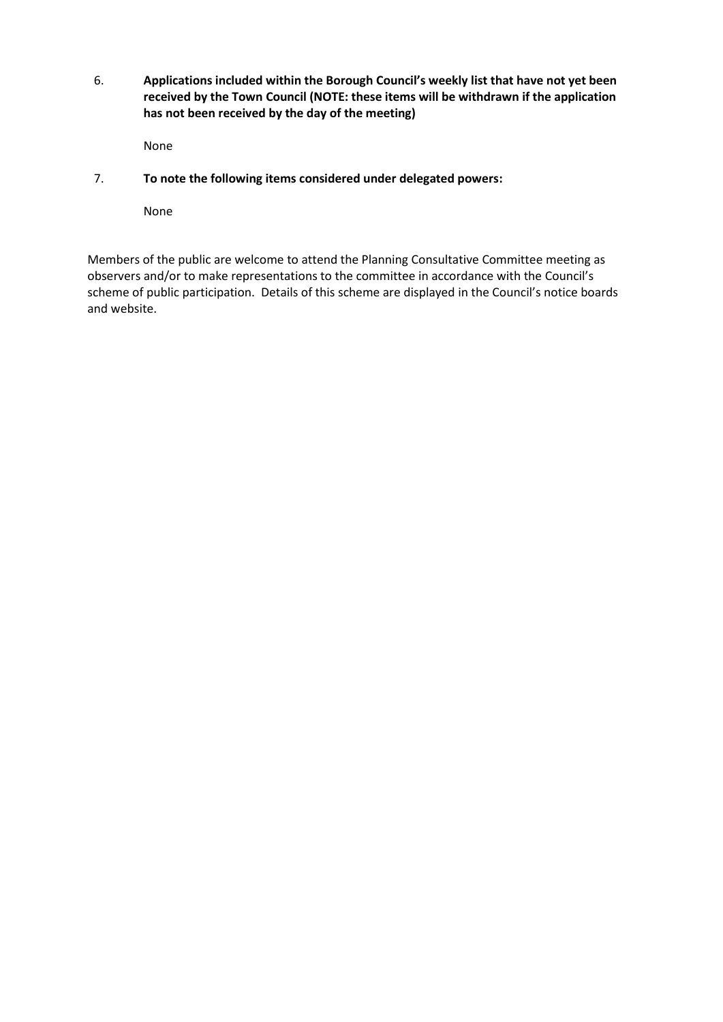6. **Applications included within the Borough Council's weekly list that have not yet been received by the Town Council (NOTE: these items will be withdrawn if the application has not been received by the day of the meeting)**

None

7. **To note the following items considered under delegated powers:**

None

Members of the public are welcome to attend the Planning Consultative Committee meeting as observers and/or to make representations to the committee in accordance with the Council's scheme of public participation. Details of this scheme are displayed in the Council's notice boards and website.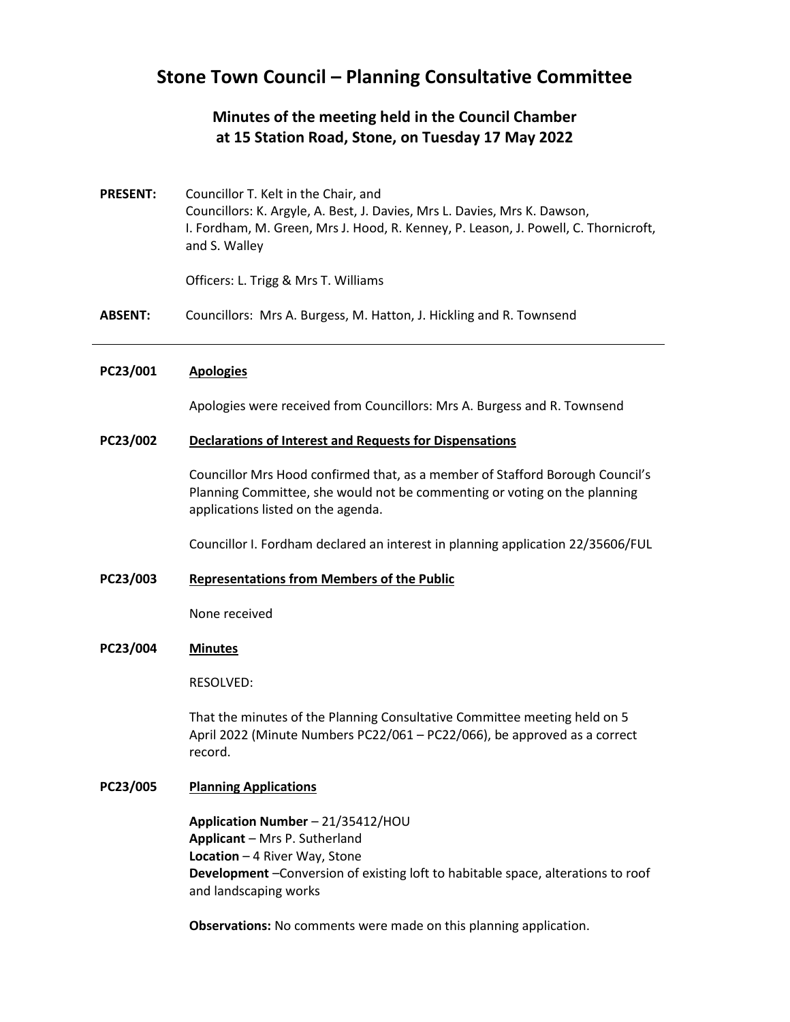# **Stone Town Council – Planning Consultative Committee**

# **Minutes of the meeting held in the Council Chamber at 15 Station Road, Stone, on Tuesday 17 May 2022**

**PRESENT:** Councillor T. Kelt in the Chair, and Councillors: K. Argyle, A. Best, J. Davies, Mrs L. Davies, Mrs K. Dawson, I. Fordham, M. Green, Mrs J. Hood, R. Kenney, P. Leason, J. Powell, C. Thornicroft, and S. Walley

Officers: L. Trigg & Mrs T. Williams

**ABSENT:** Councillors: Mrs A. Burgess, M. Hatton, J. Hickling and R. Townsend

## **PC23/001 Apologies**

Apologies were received from Councillors: Mrs A. Burgess and R. Townsend

### **PC23/002 Declarations of Interest and Requests for Dispensations**

Councillor Mrs Hood confirmed that, as a member of Stafford Borough Council's Planning Committee, she would not be commenting or voting on the planning applications listed on the agenda.

Councillor I. Fordham declared an interest in planning application 22/35606/FUL

#### **PC23/003 Representations from Members of the Public**

None received

### **PC23/004 Minutes**

RESOLVED:

That the minutes of the Planning Consultative Committee meeting held on 5 April 2022 (Minute Numbers PC22/061 – PC22/066), be approved as a correct record.

## **PC23/005 Planning Applications**

**Application Number** – 21/35412/HOU **Applicant** – Mrs P. Sutherland **Location** – 4 River Way, Stone **Development** –Conversion of existing loft to habitable space, alterations to roof and landscaping works

**Observations:** No comments were made on this planning application.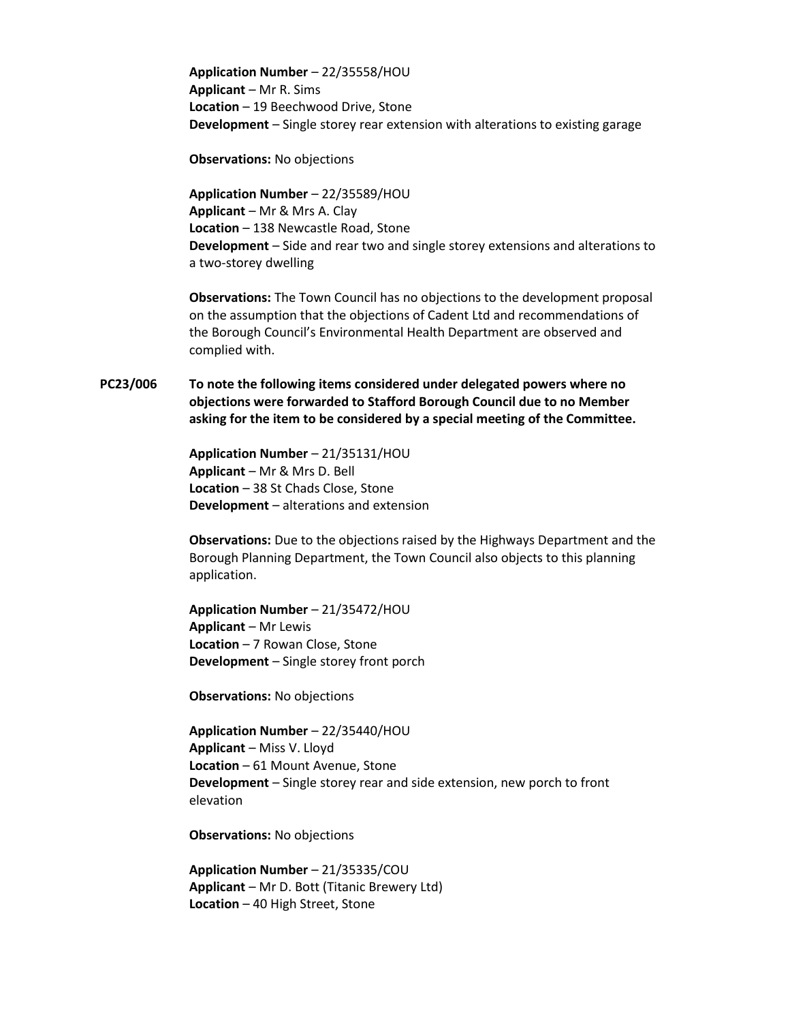**Application Number** – 22/35558/HOU **Applicant** – Mr R. Sims **Location** – 19 Beechwood Drive, Stone **Development** – Single storey rear extension with alterations to existing garage

**Observations:** No objections

**Application Number** – 22/35589/HOU **Applicant** – Mr & Mrs A. Clay **Location** – 138 Newcastle Road, Stone **Development** – Side and rear two and single storey extensions and alterations to a two-storey dwelling

**Observations:** The Town Council has no objections to the development proposal on the assumption that the objections of Cadent Ltd and recommendations of the Borough Council's Environmental Health Department are observed and complied with.

**PC23/006 To note the following items considered under delegated powers where no objections were forwarded to Stafford Borough Council due to no Member asking for the item to be considered by a special meeting of the Committee.**

> **Application Number** – 21/35131/HOU **Applicant** – Mr & Mrs D. Bell **Location** – 38 St Chads Close, Stone **Development** – alterations and extension

**Observations:** Due to the objections raised by the Highways Department and the Borough Planning Department, the Town Council also objects to this planning application.

**Application Number** – 21/35472/HOU **Applicant** – Mr Lewis **Location** – 7 Rowan Close, Stone **Development** – Single storey front porch

**Observations:** No objections

**Application Number** – 22/35440/HOU **Applicant** – Miss V. Lloyd **Location** – 61 Mount Avenue, Stone **Development** – Single storey rear and side extension, new porch to front elevation

**Observations:** No objections

**Application Number** – 21/35335/COU **Applicant** – Mr D. Bott (Titanic Brewery Ltd) **Location** – 40 High Street, Stone